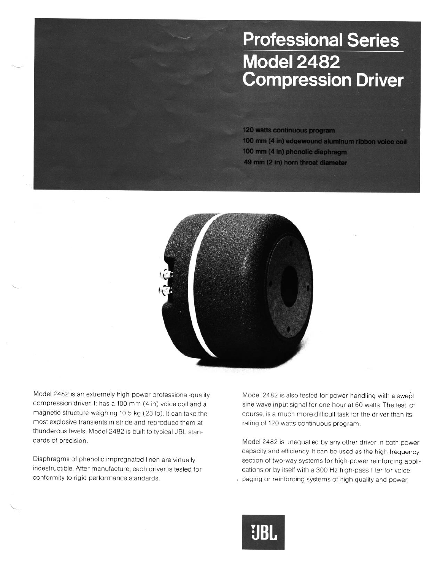## **Professional Series Model 2482 Compression Driver**

120 watts continuous program 100 mm (4 in) edgewound aluminum ribbon voice coil 100 mm (4 in) phenolic diaphragm 49 mm (2 in) horn throat diameter



Model 2482 is an extremely high-power professional-quality compression driver. It has a 100 mm (4 in) voice coil and a magnetic structure weighing 10.5 kg (23 lb). It can take the most explosive transients in stride and reproduce them at thunderous levels. Model 2482 is built to typical JBL standards of precision.

Diaphragms of phenolic impregnated linen are virtually indestructible. After manufacture, each driver is tested for conformity to rigid performance standards.

Model 2482 is also tested for power handling with a swept sine wave input signal for one hour at 60 watts The test, of course, is a much more difficult task for the driver than its rating of 120 watts continuous program.

Model 2482 is unequalled by any other driver in both power capacity and efficiency. It can be used as the high frequency section of two-way systems for high-power reinforcing applications or by itself with a 300 Hz high-pass filter for voice paging or reinforcing systems of high quality and power.